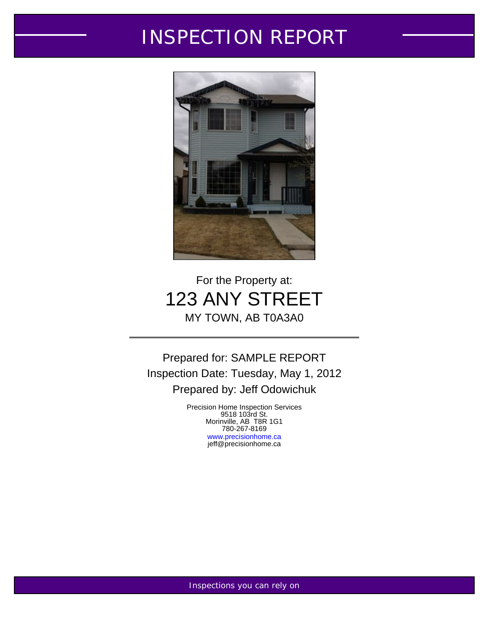# INSPECTION REPORT



# For the Property at: 123 ANY STREET MY TOWN, AB T0A3A0

Prepared for: SAMPLE REPORT Inspection Date: Tuesday, May 1, 2012 Prepared by: Jeff Odowichuk

> Precision Home Inspection Services 9518 103rd St. Morinville, AB T8R 1G1 780-267-8169 <www.precisionhome.ca> jeff@precisionhome.ca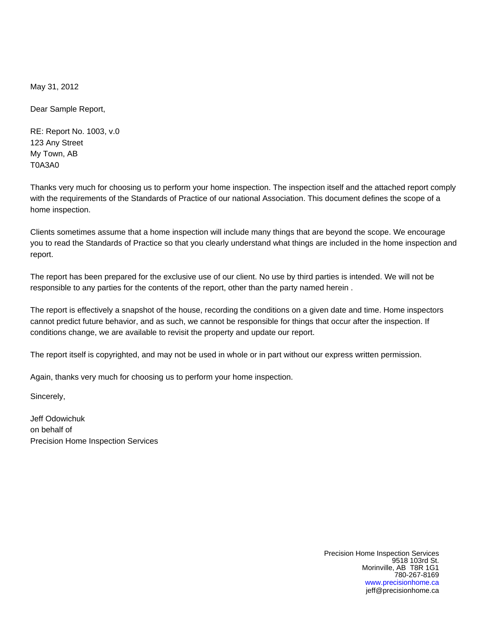May 31, 2012

Dear Sample Report,

RE: Report No. 1003, v.0 123 Any Street My Town, AB T0A3A0

Thanks very much for choosing us to perform your home inspection. The inspection itself and the attached report comply with the requirements of the Standards of Practice of our national Association. This document defines the scope of a home inspection.

Clients sometimes assume that a home inspection will include many things that are beyond the scope. We encourage you to read the Standards of Practice so that you clearly understand what things are included in the home inspection and report.

The report has been prepared for the exclusive use of our client. No use by third parties is intended. We will not be responsible to any parties for the contents of the report, other than the party named herein .

The report is effectively a snapshot of the house, recording the conditions on a given date and time. Home inspectors cannot predict future behavior, and as such, we cannot be responsible for things that occur after the inspection. If conditions change, we are available to revisit the property and update our report.

The report itself is copyrighted, and may not be used in whole or in part without our express written permission.

Again, thanks very much for choosing us to perform your home inspection.

Sincerely,

Jeff Odowichuk on behalf of Precision Home Inspection Services

> Precision Home Inspection Services 9518 103rd St. Morinville, AB T8R 1G1 780-267-8169 <www.precisionhome.ca> jeff@precisionhome.ca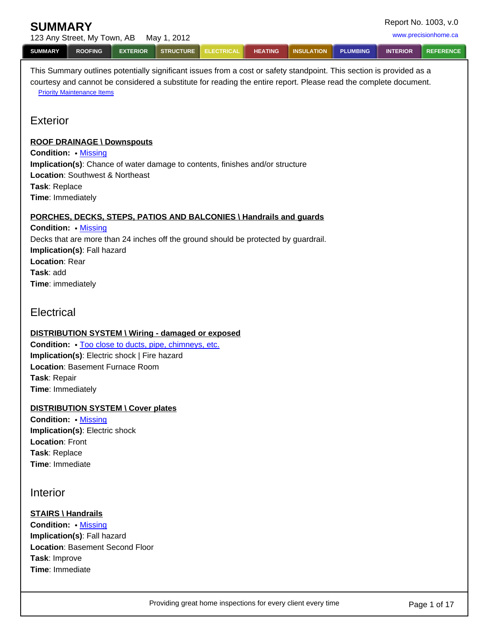<span id="page-2-0"></span>

| <b>SUMMARY</b> |                             |                 |                    |            |                |                   |                 |                 | Report No. 1003, v.0 |
|----------------|-----------------------------|-----------------|--------------------|------------|----------------|-------------------|-----------------|-----------------|----------------------|
|                | 123 Any Street, My Town, AB |                 | Mav 1. 2012        |            |                |                   |                 |                 | www.precisionhome.ca |
| <b>SUMMARY</b> | <b>ROOFING</b>              | <b>EXTERIOR</b> | STRUCTURE <b>I</b> | ELECTRICAL | <b>HEATING</b> | <b>INSULATION</b> | <b>PLUMBING</b> | <b>INTERIOR</b> | <b>REFERENCE</b>     |

This Summary outlines potentially significant issues from a cost or safety standpoint. This section is provided as a courtesy and cannot be considered a substitute for reading the entire report. Please read the complete document. **[Priority Maintenance Items](http://www.inspectionlibrary.com/maintenance.html)** 

# **Exterior**

#### **ROOF DRAINAGE \ Downspouts**

**Condition:** • [Missing](http://www.discoverhorizon.com/hrb/article.aspx?ASKID=912&DROPDOWN=3269) **Implication(s)**: Chance of water damage to contents, finishes and/or structure **Location**: Southwest & Northeast **Task**: Replace **Time**: Immediately

### **PORCHES, DECKS, STEPS, PATIOS AND BALCONIES \ Handrails and guards**

**Condition:** • [Missing](http://www.discoverhorizon.com/hrb/article.aspx?ASKID=885&DROPDOWN=3274) Decks that are more than 24 inches off the ground should be protected by guardrail. **Implication(s)**: Fall hazard **Location**: Rear **Task**: add **Time**: immediately

**Electrical** 

### **DISTRIBUTION SYSTEM \ Wiring - damaged or exposed**

**Condition:**  $\cdot$  [Too close to ducts, pipe, chimneys, etc.](http://www.discoverhorizon.com/hrb/article.aspx?ASKID=515&DROPDOWN=5875) **Implication(s)**: Electric shock | Fire hazard **Location**: Basement Furnace Room **Task**: Repair **Time**: Immediately

#### **DISTRIBUTION SYSTEM \ Cover plates**

**Condition:** • [Missing](http://www.discoverhorizon.com/hrb/HHRB.aspx?id=1154&DROPDOWN=18031) **Implication(s)**: Electric shock **Location**: Front **Task**: Replace **Time**: Immediate

### Interior

### **STAIRS \ Handrails**

**Condition:** • [Missing](http://www.discoverhorizon.com/hrb/article.aspx?ASKID=2786&DROPDOWN=3406) **Implication(s)**: Fall hazard **Location**: Basement Second Floor **Task**: Improve **Time**: Immediate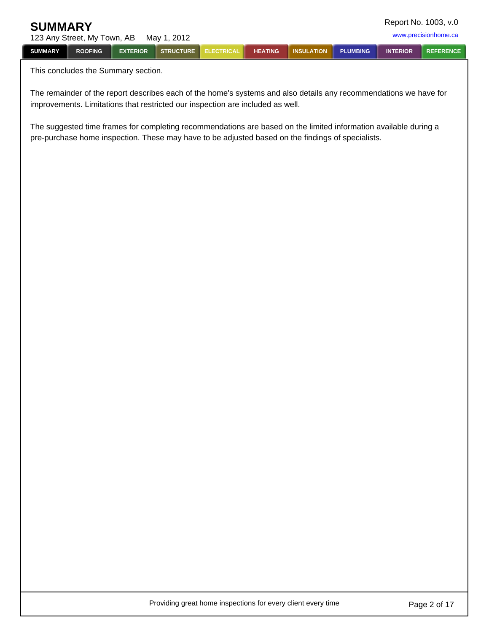| Report No. 1003, v.0<br><b>SUMMARY</b> |                             |                 |             |                   |                |                   |                 |                 |                      |
|----------------------------------------|-----------------------------|-----------------|-------------|-------------------|----------------|-------------------|-----------------|-----------------|----------------------|
|                                        | 123 Any Street, My Town, AB |                 | Mav 1. 2012 |                   |                |                   |                 |                 | www.precisionhome.ca |
| <b>SUMMARY</b>                         | <b>ROOFING</b>              | <b>EXTERIOR</b> | STRUCTURE I | <b>ELECTRICAL</b> | <b>HEATING</b> | <b>INSULATION</b> | <b>PLUMBING</b> | <b>INTERIOR</b> | <b>REFERENCE</b>     |

This concludes the Summary section.

The remainder of the report describes each of the home's systems and also details any recommendations we have for improvements. Limitations that restricted our inspection are included as well.

The suggested time frames for completing recommendations are based on the limited information available during a pre-purchase home inspection. These may have to be adjusted based on the findings of specialists.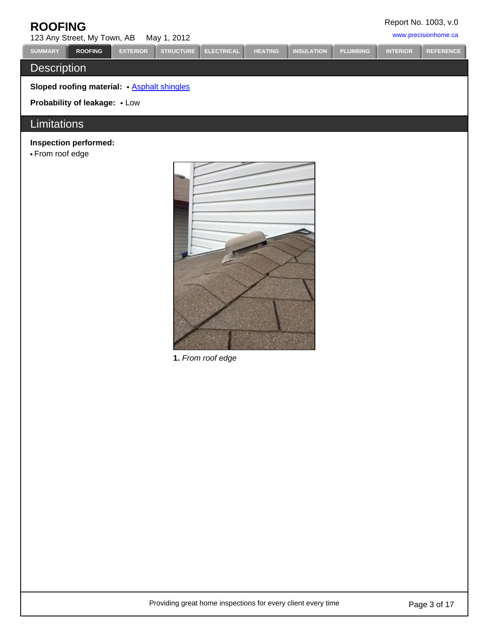<span id="page-4-0"></span>

| <b>ROOFING</b><br>123 Any Street, My Town, AB    |                 | May 1, 2012      |                   |                |                   |                 |                 | Report No. 1003, v.0<br>www.precisionhome.ca |
|--------------------------------------------------|-----------------|------------------|-------------------|----------------|-------------------|-----------------|-----------------|----------------------------------------------|
| <b>SUMMARY</b><br><b>ROOFING</b>                 | <b>EXTERIOR</b> | <b>STRUCTURE</b> | <b>ELECTRICAL</b> | <b>HEATING</b> | <b>INSULATION</b> | <b>PLUMBING</b> | <b>INTERIOR</b> | <b>REFERENCE</b>                             |
| <b>Description</b>                               |                 |                  |                   |                |                   |                 |                 |                                              |
| <b>Sloped roofing material:</b> Asphalt shingles |                 |                  |                   |                |                   |                 |                 |                                              |
| <b>Probability of leakage: • Low</b>             |                 |                  |                   |                |                   |                 |                 |                                              |
| <b>Limitations</b>                               |                 |                  |                   |                |                   |                 |                 |                                              |
| Inspection performed:<br>• From roof edge        |                 |                  |                   |                |                   |                 |                 |                                              |
|                                                  |                 |                  |                   |                |                   |                 |                 |                                              |



**1.** From roof edge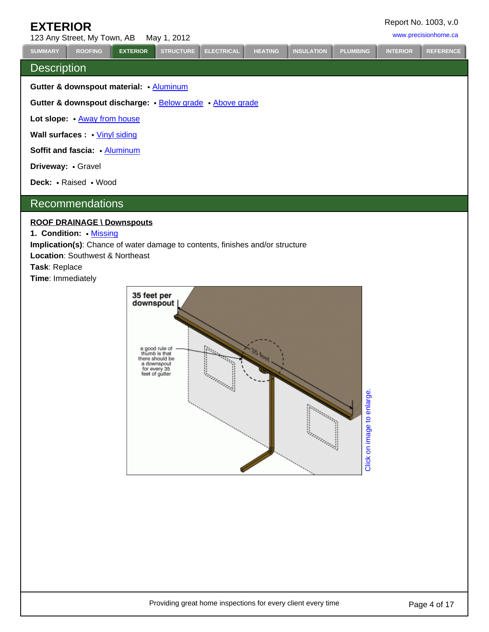# <span id="page-5-0"></span>**EXTERIOR**

123 Any Street, My Town, AB May 1, 2012 <www.precisionhome.ca>

## **Description**

**Gutter & downspout material:** • [Aluminum](http://www.discoverhorizon.com/hrb/HHRB.aspx?id=200&DROPDOWN=190)

**Gutter & downspout discharge:** [Below grade](http://www.discoverhorizon.com/hrb/HHRB.aspx?id=206&DROPDOWN=1323) [Above grade](http://www.discoverhorizon.com/hrb/HHRB.aspx?id=206&DROPDOWN=1322)

Lot slope:  $\cdot$  [Away from house](http://www.discoverhorizon.com/hrb/HHRB.aspx?id=211&DROPDOWN=271)

**Wall surfaces :** [Vinyl siding](http://www.discoverhorizon.com/hrb/HHRB.aspx?id=273&DROPDOWN=6259)

**Soffit and fascia:** • [Aluminum](http://www.discoverhorizon.com/hrb/article.aspx?ASKID=726&DROPDOWN=231693)

**Driveway:** • Gravel

Deck: • Raised • Wood

### Recommendations

#### **ROOF DRAINAGE \ Downspouts**

**1. Condition: [Missing](http://www.discoverhorizon.com/hrb/article.aspx?ASKID=912&DROPDOWN=3269)** 

**Implication(s)**: Chance of water damage to contents, finishes and/or structure

**Location**: Southwest & Northeast

**Task**: Replace

**Time**: Immediately



**[SUMMARY](#page-2-0) [ROOFING](#page-4-0) [EXTERIOR](#page-5-0) [STRUCTURE](#page-10-0) [ELECTRICAL](#page-11-0) [HEATING](#page-13-0) [INSULATION](#page-14-0) [PLUMBING](#page-15-0) [INTERIOR](#page-16-0) [REFERENCE](#page-18-0)**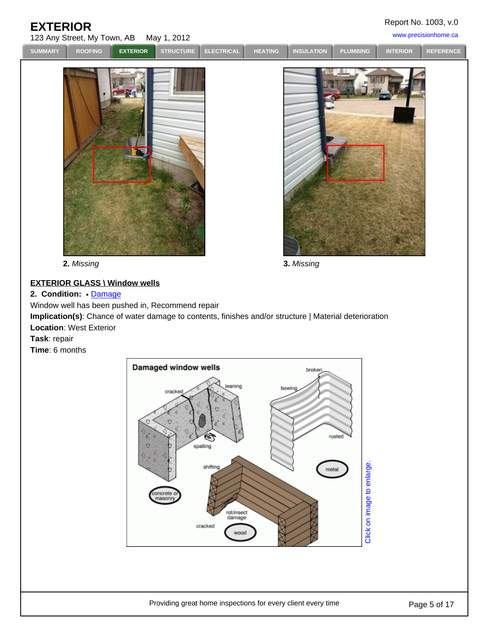# **EXTERIOR**

Report No. 1003, v.0

| LAILINUN       | 123 Any Street, My Town, AB May 1, 2012 |                 |                  |                   |                |                   |                 |                 | www.precisionhome.ca |
|----------------|-----------------------------------------|-----------------|------------------|-------------------|----------------|-------------------|-----------------|-----------------|----------------------|
| <b>SUMMARY</b> | <b>ROOFING</b>                          | <b>EXTERIOR</b> | <b>STRUCTURE</b> | <b>ELECTRICAL</b> | <b>HEATING</b> | <b>INSULATION</b> | <b>PLUMBING</b> | <b>INTERIOR</b> | <b>REFERENCE</b>     |
|                |                                         |                 |                  |                   |                |                   |                 |                 |                      |

**2.** Missing **3.** Missing

### **EXTERIOR GLASS \ Window wells**

### **2. Condition: [Damage](http://www.discoverhorizon.com/hrb/article.aspx?ASKID=942&DROPDOWN=1052)**

Window well has been pushed in, Recommend repair

**Implication(s)**: Chance of water damage to contents, finishes and/or structure | Material deterioration **Location**: West Exterior

**Task**: repair

**Time**: 6 months

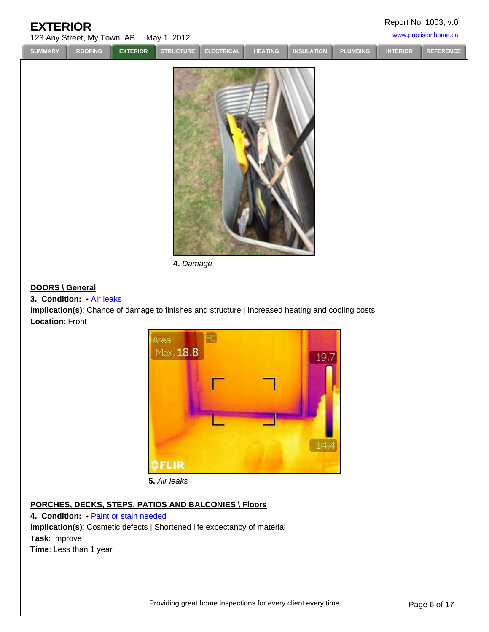# **EXTERIOR**

Report No. 1003, v.0

| www.precisionhome.ca<br>123 Any Street, My Town, AB May 1, 2012 |                |                 |  |                        |         |                     |  |                 |           |
|-----------------------------------------------------------------|----------------|-----------------|--|------------------------|---------|---------------------|--|-----------------|-----------|
| <b>SUMMARY</b>                                                  | <b>ROOFING</b> | <b>EXTERIOR</b> |  | STRUCTURE ELECTRICAL I | HEATING | INSULATION PLUMBING |  | <b>INTERIOR</b> | REFERENCE |
|                                                                 |                |                 |  |                        |         |                     |  |                 |           |



**4.** Damage

#### **DOORS \ General**

### **3. Condition:** [Air leaks](http://www.discoverhorizon.com/hrb/article.aspx?ASKID=826&DROPDOWN=151)

**Implication(s)**: Chance of damage to finishes and structure | Increased heating and cooling costs **Location**: Front



**5.** Air leaks

### **PORCHES, DECKS, STEPS, PATIOS AND BALCONIES \ Floors**

4. **Condition:** . **[Paint or stain needed](http://www.discoverhorizon.com/hrb/article.aspx?ASKID=853&DROPDOWN=4208) Implication(s)**: Cosmetic defects | Shortened life expectancy of material **Task**: Improve **Time**: Less than 1 year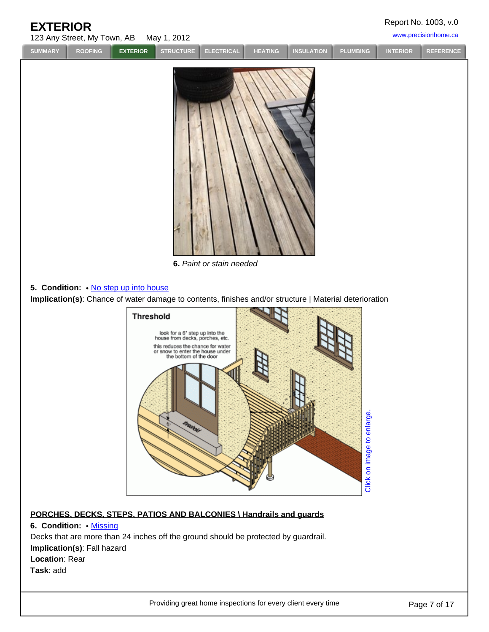| <b>EXTERIOR</b><br>123 Any Street, My Town, AB | May 1, 2012                                                                                                                        | Report No. 1003, v.0<br>www.precisionhome.ca |
|------------------------------------------------|------------------------------------------------------------------------------------------------------------------------------------|----------------------------------------------|
| <b>SUMMARY</b><br><b>ROOFING</b>               | <b>STRUCTURE</b><br><b>INSULATION</b><br><b>EXTERIOR</b><br><b>PLUMBING</b><br><b>ELECTRICAL</b><br><b>HEATING</b>                 | <b>REFERENCE</b><br><b>INTERIOR</b>          |
| 5. Condition: . No step up into house          | 6. Paint or stain needed<br>Implication(s): Chance of water damage to contents, finishes and/or structure   Material deterioration |                                              |
|                                                | <b>Threshold</b>                                                                                                                   |                                              |
|                                                | look for a 6" step up into the<br>house from decks, porches, etc.                                                                  |                                              |
|                                                | this reduces the chance for water<br>or snow to enter the house under<br>the bottom of the door                                    |                                              |
|                                                | Click on image to enlarge<br><b>PROPERTY</b>                                                                                       |                                              |

### **PORCHES, DECKS, STEPS, PATIOS AND BALCONIES \ Handrails and guards**

**6. Condition:** • **[Missing](http://www.discoverhorizon.com/hrb/article.aspx?ASKID=885&DROPDOWN=3274)** Decks that are more than 24 inches off the ground should be protected by guardrail. **Implication(s)**: Fall hazard **Location**: Rear **Task**: add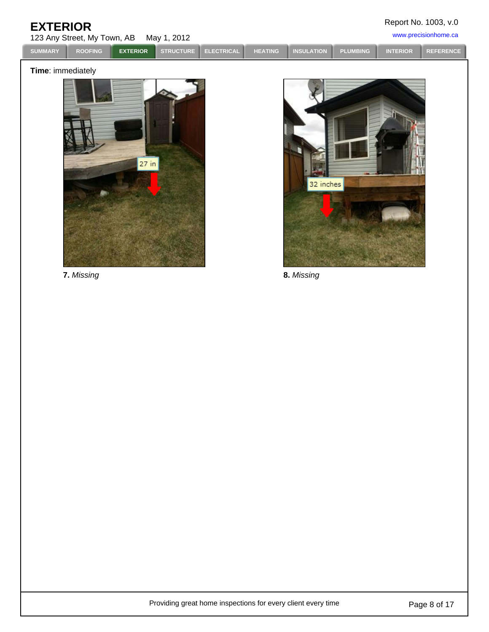| <b>EXTERIOR</b> |
|-----------------|
|-----------------|

Report No. 1003, v.0

123 Any Street, My Town, AB May 1, 2012 <www.precisionhome.ca>

| <b>SUMMARY</b> | <b>ROOFING</b> | <b>EXTERIOR</b> | STRUCTURE ELECTRICAL I | <b>HEATING</b> | INSULATION PLUMBING | <b>INTERIOR</b> | REFERENCE |
|----------------|----------------|-----------------|------------------------|----------------|---------------------|-----------------|-----------|
|                |                |                 |                        |                |                     |                 |           |

### **Time**: immediately

![](_page_9_Picture_5.jpeg)

![](_page_9_Picture_7.jpeg)

**7.** Missing **8.** Missing

Providing great home inspections for every client every time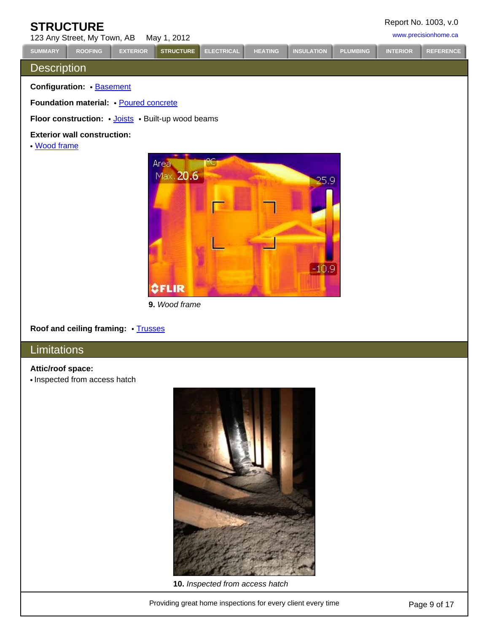<span id="page-10-0"></span>

| <b>STRUCTURE</b><br>123 Any Street, My Town, AB |                                                    | Report No. 1003, v.0<br>www.precisionhome.ca |                   |                   |                |                   |                 |                 |                  |
|-------------------------------------------------|----------------------------------------------------|----------------------------------------------|-------------------|-------------------|----------------|-------------------|-----------------|-----------------|------------------|
| <b>SUMMARY</b>                                  | <b>ROOFING</b>                                     | <b>EXTERIOR</b>                              | <b>STRUCTURE</b>  | <b>ELECTRICAL</b> | <b>HEATING</b> | <b>INSULATION</b> | <b>PLUMBING</b> | <b>INTERIOR</b> | <b>REFERENCE</b> |
| <b>Description</b>                              |                                                    |                                              |                   |                   |                |                   |                 |                 |                  |
|                                                 | <b>Configuration:</b> Basement                     |                                              |                   |                   |                |                   |                 |                 |                  |
|                                                 | Foundation material: • Poured concrete             |                                              |                   |                   |                |                   |                 |                 |                  |
|                                                 | Floor construction: • Joists • Built-up wood beams |                                              |                   |                   |                |                   |                 |                 |                  |
| • Wood frame                                    | <b>Exterior wall construction:</b>                 |                                              |                   |                   |                |                   |                 |                 |                  |
|                                                 |                                                    |                                              | Area<br>Max. 20.6 |                   |                | 25.9              |                 |                 |                  |

 $-10.9$ 

### **Roof and ceiling framing:** [Trusses](http://www.discoverhorizon.com/hrb/HHRB.aspx?id=757&DROPDOWN=6075)

**9.** Wood frame

OFLIR

# **Limitations**

### **Attic/roof space:**

• Inspected from access hatch

![](_page_10_Picture_5.jpeg)

**10.** Inspected from access hatch

Providing great home inspections for every client every time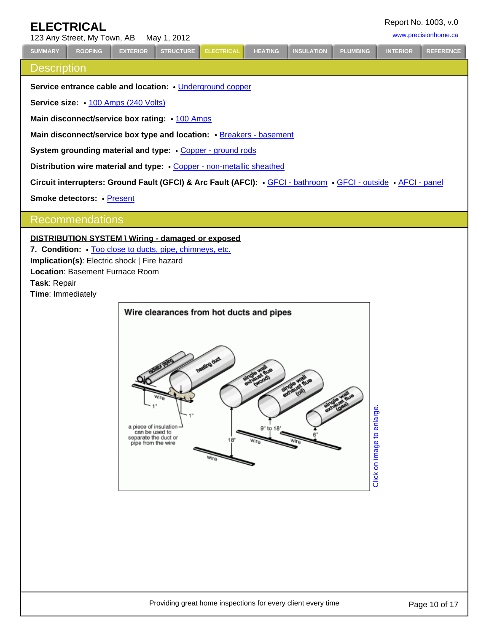# <span id="page-11-0"></span>**ELECTRICAL**

123 Any Street, My Town, AB May 1, 2012 <www.precisionhome.ca>

**[SUMMARY](#page-2-0) [ROOFING](#page-4-0) [EXTERIOR](#page-5-0) [STRUCTURE](#page-10-0) [ELECTRICAL](#page-11-0) [HEATING](#page-13-0) [INSULATION](#page-14-0) [PLUMBING](#page-15-0) [INTERIOR](#page-16-0) [REFERENCE](#page-18-0)**

**Description** 

# **Service entrance cable and location:** • [Underground copper](http://www.discoverhorizon.com/hrb/HHRB.aspx?id=906&DROPDOWN=6105) **Service size:**  $\cdot$  [100 Amps \(240 Volts\)](http://www.discoverhorizon.com/hrb/HHRB.aspx?id=920&DROPDOWN=27) Main disconnect/service box rating:  $\cdot$  [100 Amps](http://www.discoverhorizon.com/hrb/HHRB.aspx?id=934&DROPDOWN=24) Main disconnect/service box type and location: • [Breakers - basement](http://www.discoverhorizon.com/hrb/HHRB.aspx?id=934&DROPDOWN=7758) **System grounding material and type: • [Copper - ground rods](http://www.discoverhorizon.com/hrb/HHRB.aspx?id=951&DROPDOWN=1976)** Distribution wire material and type:  $\cdot$  [Copper - non-metallic sheathed](http://www.discoverhorizon.com/hrb/HHRB.aspx?id=1019&DROPDOWN=784) Circuit interrupters: Ground Fault (GFCI) & Arc Fault (AFCI):  $\cdot$  [GFCI - bathroom](http://www.discoverhorizon.com/hrb/HHRB.aspx?id=1133&DROPDOWN=307)  $\cdot$  [GFCI - outside](http://www.discoverhorizon.com/hrb/HHRB.aspx?id=1133&DROPDOWN=4102)  $\cdot$  [AFCI - panel](http://www.discoverhorizon.com/hrb/article.aspx?ASKID=3842&DROPDOWN=6735) **Smoke detectors: • [Present](http://www.discoverhorizon.com/hrb/article.aspx?ASKID=566&DROPDOWN=8021)** Recommendations **DISTRIBUTION SYSTEM \ Wiring - damaged or exposed** 7. **Condition:** [Too close to ducts, pipe, chimneys, etc.](http://www.discoverhorizon.com/hrb/article.aspx?ASKID=515&DROPDOWN=5875) **Implication(s)**: Electric shock | Fire hazard **Location**: Basement Furnace Room **Task**: Repair **Time**: Immediately Wire clearances from hot ducts and pipes Click on image to enlarge. Click on image to enlarge. a piece of insulation<br>can be used to separate the duct or pipe from the wire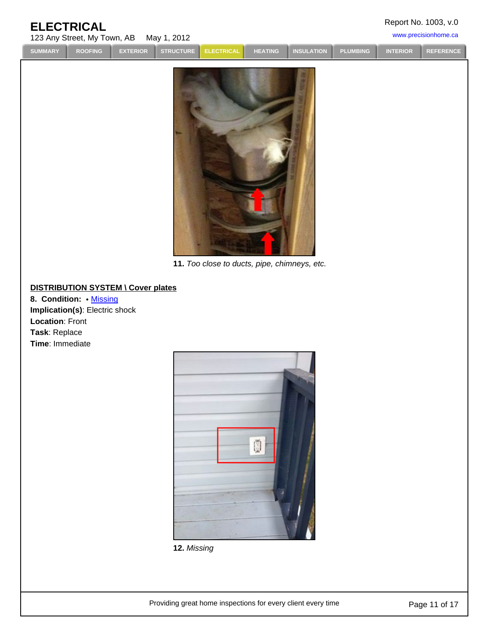| Report No. 1003, v.0 |  |  |  |
|----------------------|--|--|--|
|----------------------|--|--|--|

### 123 Any Street, My Town, AB May 1, 2012 <www.precisionhome.ca> **ELECTRICAL**

**[SUMMARY](#page-2-0) [ROOFING](#page-4-0) [EXTERIOR](#page-5-0) [STRUCTURE](#page-10-0) [ELECTRICAL](#page-11-0) [HEATING](#page-13-0) [INSULATION](#page-14-0) [PLUMBING](#page-15-0) [INTERIOR](#page-16-0) [REFERENCE](#page-18-0)**

![](_page_12_Picture_11.jpeg)

**11.** Too close to ducts, pipe, chimneys, etc.

### **DISTRIBUTION SYSTEM \ Cover plates**

**8. Condition:** • [Missing](http://www.discoverhorizon.com/hrb/HHRB.aspx?id=1154&DROPDOWN=18031) **Implication(s)**: Electric shock **Location**: Front **Task**: Replace **Time**: Immediate

![](_page_12_Picture_15.jpeg)

**12.** Missing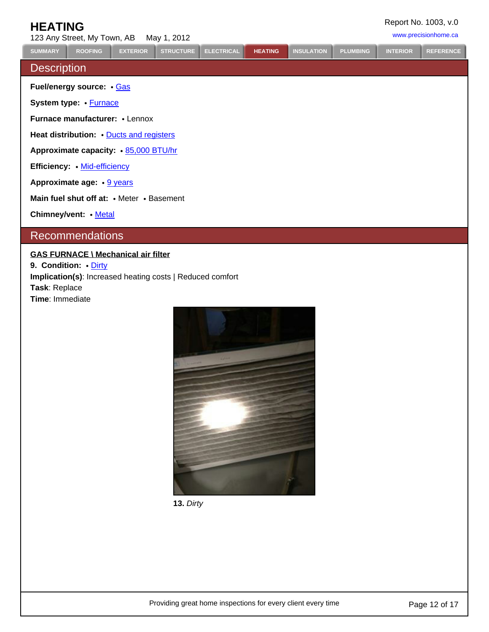# **HEATING**

<span id="page-13-0"></span>123 Any Street, My Town, AB May 1, 2012 <www.precisionhome.ca> **Description Fuel/energy source:** • [Gas](http://www.discoverhorizon.com/hrb/article.aspx?ASKID=1419&DROPDOWN=1919) **System type:** • **[Furnace](http://www.discoverhorizon.com/hrb/HHRB.aspx?id=1197&DROPDOWN=1869) Furnace manufacturer: • Lennox** Heat distribution: [Ducts and registers](http://www.discoverhorizon.com/hrb/HHRB.aspx?id=1489&DROPDOWN=113136) Approximate capacity:  $\cdot$  [85,000 BTU/hr](http://www.discoverhorizon.com/hrb/HHRB.aspx?id=1292&DROPDOWN=8055) **Efficiency:** • [Mid-efficiency](http://www.discoverhorizon.com/hrb/HHRB.aspx?id=1279&DROPDOWN=3200) Approximate age:  $\cdot$  [9 years](http://www.discoverhorizon.com/hrb/HHRB.aspx?id=1298&DROPDOWN=52) **Main fuel shut off at: • Meter • Basement Chimney/vent:** • [Metal](http://www.discoverhorizon.com/hrb/HHRB.aspx?id=159&DROPDOWN=3189) Recommendations **[SUMMARY](#page-2-0) [ROOFING](#page-4-0) [EXTERIOR](#page-5-0) [STRUCTURE](#page-10-0) [ELECTRICAL](#page-11-0) [HEATING](#page-13-0) [INSULATION](#page-14-0) [PLUMBING](#page-15-0) [INTERIOR](#page-16-0) [REFERENCE](#page-18-0)**

### **GAS FURNACE \ Mechanical air filter**

**9. Condition: • [Dirty](http://www.discoverhorizon.com/hrb/article.aspx?ASKID=1398&DROPDOWN=1286) Implication(s)**: Increased heating costs | Reduced comfort **Task**: Replace **Time**: Immediate

![](_page_13_Picture_5.jpeg)

**13.** Dirty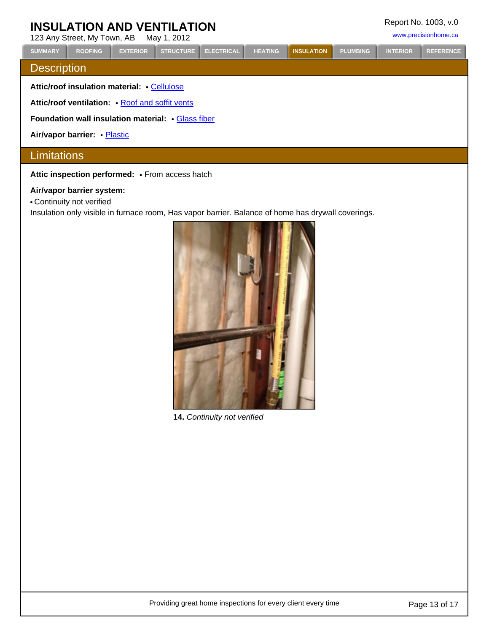# <span id="page-14-0"></span>**INSULATION AND VENTILATION**

<www.precisionhome.ca>

|                                                           | IZJ AIIY JUUU, IVIY TUWII, AD<br><b>IVIAY I. ZUTZ</b> |                 |                  |                   |                |                   |                 |                 |                  |  |
|-----------------------------------------------------------|-------------------------------------------------------|-----------------|------------------|-------------------|----------------|-------------------|-----------------|-----------------|------------------|--|
| <b>SUMMARY</b>                                            | <b>ROOFING</b>                                        | <b>EXTERIOR</b> | <b>STRUCTURE</b> | <b>ELECTRICAL</b> | <b>HEATING</b> | <b>INSULATION</b> | <b>PLUMBING</b> | <b>INTERIOR</b> | <b>REFERENCE</b> |  |
| <b>Description</b>                                        |                                                       |                 |                  |                   |                |                   |                 |                 |                  |  |
| Attic/roof insulation material: Cellulose                 |                                                       |                 |                  |                   |                |                   |                 |                 |                  |  |
| Attic/roof ventilation: • Roof and soffit vents           |                                                       |                 |                  |                   |                |                   |                 |                 |                  |  |
| <b>Foundation wall insulation material: • Glass fiber</b> |                                                       |                 |                  |                   |                |                   |                 |                 |                  |  |
| Air/vapor barrier: • Plastic                              |                                                       |                 |                  |                   |                |                   |                 |                 |                  |  |
| Limitations                                               |                                                       |                 |                  |                   |                |                   |                 |                 |                  |  |

Attic inspection performed: • From access hatch

#### **Air/vapor barrier system:**

Continuity not verified

Insulation only visible in furnace room, Has vapor barrier. Balance of home has drywall coverings.

![](_page_14_Picture_9.jpeg)

**14.** Continuity not verified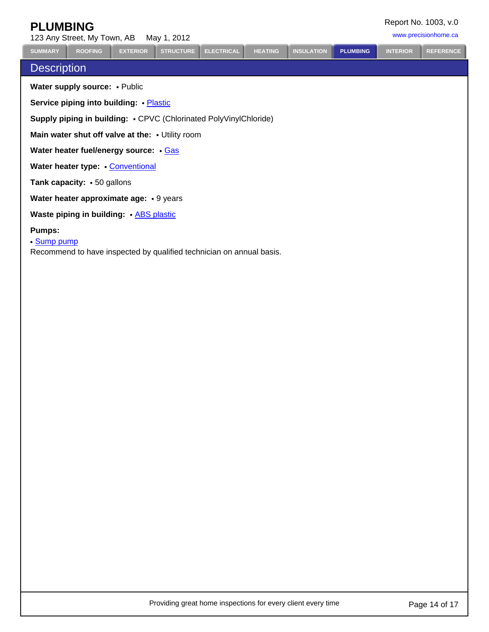# <span id="page-15-0"></span>**PLUMBING**

<www.precisionhome.ca>

| 123 Any Street, My Town, AB May 1, 2012 |  |
|-----------------------------------------|--|
|                                         |  |

**[SUMMARY](#page-2-0) [ROOFING](#page-4-0) [EXTERIOR](#page-5-0) [STRUCTURE](#page-10-0) [ELECTRICAL](#page-11-0) [HEATING](#page-13-0) [INSULATION](#page-14-0) [PLUMBING](#page-15-0) [INTERIOR](#page-16-0) [REFERENCE](#page-18-0)**

# **Description**

**Water supply source: • Public** 

**Service piping into building: · [Plastic](http://www.discoverhorizon.com/hrb/HHRB.aspx?id=1858&DROPDOWN=4311)** 

**Supply piping in building: • CPVC (Chlorinated PolyVinylChloride)** 

**Main water shut off valve at the: • Utility room** 

Water heater fuel/energy source: . [Gas](http://www.discoverhorizon.com/hrb/article.aspx?ASKID=2582&DROPDOWN=6630)

**Water heater type:** . [Conventional](http://www.discoverhorizon.com/hrb/HHRB.aspx?id=1990&DROPDOWN=766)

**Tank capacity:** • 50 gallons

**Water heater approximate age: • 9 years** 

**Waste piping in building:** • **[ABS plastic](http://www.discoverhorizon.com/hrb/HHRB.aspx?id=2045&DROPDOWN=184628)** 

#### **Pumps:**

[Sump pump](http://www.discoverhorizon.com/hrb/HHRB.aspx?id=2109&DROPDOWN=4617)

Recommend to have inspected by qualified technician on annual basis.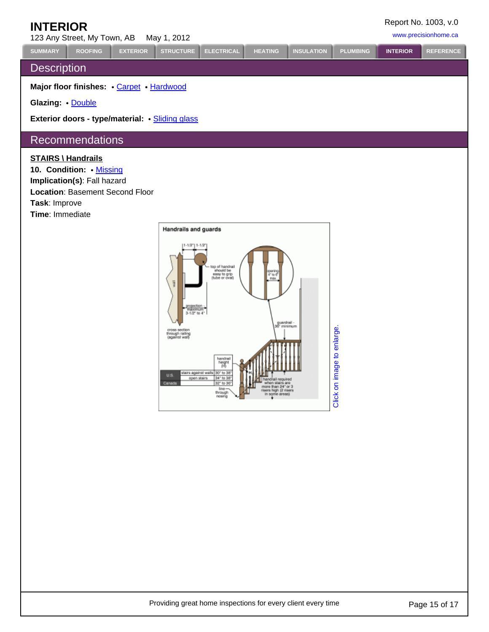# <span id="page-16-0"></span>**INTERIOR**

123 Any Street, My Town, AB May 1, 2012<br>
23 Any Street, My Town, AB May 1, 2012

# **Description**

**Major floor finishes:** . [Carpet](http://www.discoverhorizon.com/hrb/HHRB.aspx?id=2280&DROPDOWN=494) . [Hardwood](http://www.discoverhorizon.com/hrb/HHRB.aspx?id=2254&DROPDOWN=1998)

**Glazing:** [Double](http://www.discoverhorizon.com/hrb/HHRB.aspx?id=2474&DROPDOWN=1384)

**Exterior doors - type/material: . [Sliding glass](http://www.discoverhorizon.com/hrb/HHRB.aspx?id=2492&DROPDOWN=5480)** 

# Recommendations

#### **STAIRS \ Handrails**

10. Condition: [Missing](http://www.discoverhorizon.com/hrb/article.aspx?ASKID=2786&DROPDOWN=3406) **Implication(s)**: Fall hazard **Location**: Basement Second Floor **Task**: Improve **Time**: Immediate

![](_page_16_Figure_12.jpeg)

**[SUMMARY](#page-2-0) [ROOFING](#page-4-0) [EXTERIOR](#page-5-0) [STRUCTURE](#page-10-0) [ELECTRICAL](#page-11-0) [HEATING](#page-13-0) [INSULATION](#page-14-0) [PLUMBING](#page-15-0) [INTERIOR](#page-16-0) [REFERENCE](#page-18-0)**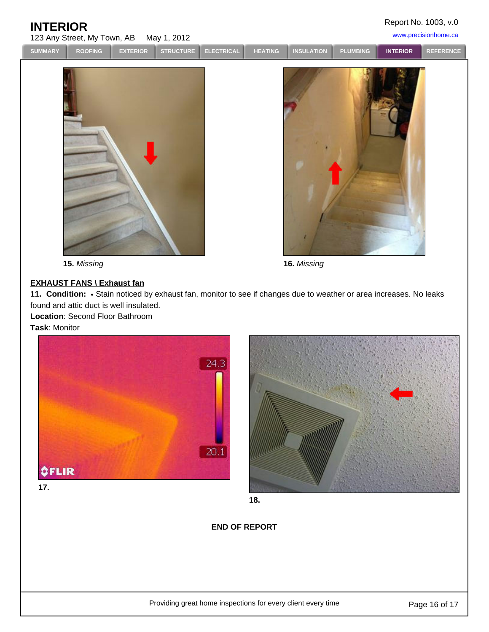Report No. 1003, v.0

123 Any Street, My Town, AB May 1, 2012 <www.precisionhome.ca> **INTERIOR**

**[SUMMARY](#page-2-0) [ROOFING](#page-4-0) [EXTERIOR](#page-5-0) [STRUCTURE](#page-10-0) [ELECTRICAL](#page-11-0) [HEATING](#page-13-0) [INSULATION](#page-14-0) [PLUMBING](#page-15-0) [INTERIOR](#page-16-0) [REFERENCE](#page-18-0)**

![](_page_17_Picture_8.jpeg)

**15.** Missing **16.** Missing

# **EXHAUST FANS \ Exhaust fan**

11. Condition: • Stain noticed by exhaust fan, monitor to see if changes due to weather or area increases. No leaks found and attic duct is well insulated.

**Location**: Second Floor Bathroom **Task**: Monitor

![](_page_17_Picture_13.jpeg)

![](_page_17_Picture_14.jpeg)

**18.**

### **END OF REPORT**

Providing great home inspections for every client every time